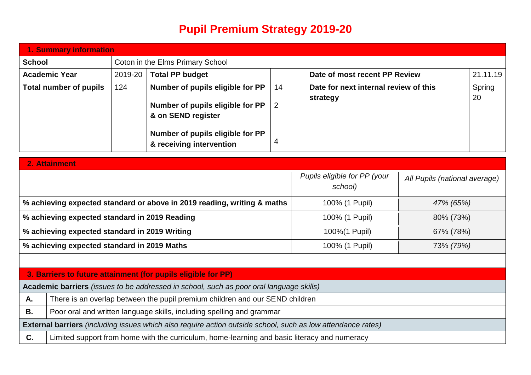## **Pupil Premium Strategy 2019-20**

|               | 1. Summary information                                                   |                                                                    |                                                                                                             |                      |  |                                                   |           |              |
|---------------|--------------------------------------------------------------------------|--------------------------------------------------------------------|-------------------------------------------------------------------------------------------------------------|----------------------|--|---------------------------------------------------|-----------|--------------|
| <b>School</b> | Coton in the Elms Primary School                                         |                                                                    |                                                                                                             |                      |  |                                                   |           |              |
|               | <b>Academic Year</b>                                                     | 2019-20<br><b>Total PP budget</b><br>Date of most recent PP Review |                                                                                                             | 21.11.19             |  |                                                   |           |              |
|               | <b>Total number of pupils</b>                                            | 124                                                                | Number of pupils eligible for PP<br>Number of pupils eligible for PP<br>& on SEND register                  | 14<br>$\overline{2}$ |  | Date for next internal review of this<br>strategy |           | Spring<br>20 |
|               |                                                                          |                                                                    | Number of pupils eligible for PP<br>& receiving intervention                                                | 4                    |  |                                                   |           |              |
| 2. Attainment |                                                                          |                                                                    |                                                                                                             |                      |  |                                                   |           |              |
|               | Pupils eligible for PP (your<br>All Pupils (national average)<br>school) |                                                                    |                                                                                                             |                      |  |                                                   |           |              |
|               |                                                                          |                                                                    | % achieving expected standard or above in 2019 reading, writing & maths                                     |                      |  | 100% (1 Pupil)<br>47% (65%)                       |           |              |
|               | % achieving expected standard in 2019 Reading                            |                                                                    |                                                                                                             |                      |  | 100% (1 Pupil)<br>80% (73%)                       |           |              |
|               | % achieving expected standard in 2019 Writing                            |                                                                    |                                                                                                             |                      |  | 100%(1 Pupil)<br>67% (78%)                        |           |              |
|               | % achieving expected standard in 2019 Maths                              |                                                                    |                                                                                                             |                      |  | 100% (1 Pupil)                                    | 73% (79%) |              |
|               |                                                                          |                                                                    |                                                                                                             |                      |  |                                                   |           |              |
|               |                                                                          |                                                                    | 3. Barriers to future attainment (for pupils eligible for PP)                                               |                      |  |                                                   |           |              |
|               |                                                                          |                                                                    | Academic barriers (issues to be addressed in school, such as poor oral language skills)                     |                      |  |                                                   |           |              |
| A.            |                                                                          |                                                                    | There is an overlap between the pupil premium children and our SEND children                                |                      |  |                                                   |           |              |
| <b>B.</b>     |                                                                          |                                                                    | Poor oral and written language skills, including spelling and grammar                                       |                      |  |                                                   |           |              |
|               |                                                                          |                                                                    | External barriers (including issues which also require action outside school, such as low attendance rates) |                      |  |                                                   |           |              |
| C.            |                                                                          |                                                                    | Limited support from home with the curriculum, home-learning and basic literacy and numeracy                |                      |  |                                                   |           |              |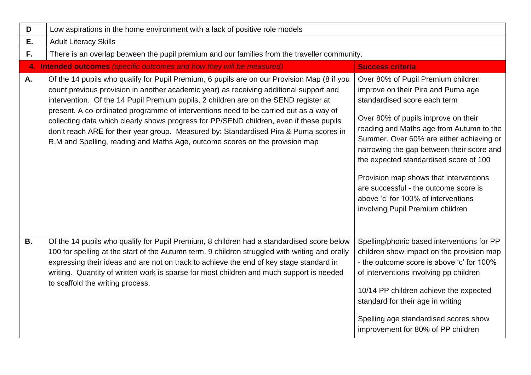| D         | Low aspirations in the home environment with a lack of positive role models                                                                                                                                                                                                                                                                                                                                                                                                                                                                                                                                                                 |                                                                                                                                                                                                                                                                                                                                                                                                                                                                                              |  |  |  |  |  |
|-----------|---------------------------------------------------------------------------------------------------------------------------------------------------------------------------------------------------------------------------------------------------------------------------------------------------------------------------------------------------------------------------------------------------------------------------------------------------------------------------------------------------------------------------------------------------------------------------------------------------------------------------------------------|----------------------------------------------------------------------------------------------------------------------------------------------------------------------------------------------------------------------------------------------------------------------------------------------------------------------------------------------------------------------------------------------------------------------------------------------------------------------------------------------|--|--|--|--|--|
| Ε.        | <b>Adult Literacy Skills</b>                                                                                                                                                                                                                                                                                                                                                                                                                                                                                                                                                                                                                |                                                                                                                                                                                                                                                                                                                                                                                                                                                                                              |  |  |  |  |  |
| F.        | There is an overlap between the pupil premium and our families from the traveller community.                                                                                                                                                                                                                                                                                                                                                                                                                                                                                                                                                |                                                                                                                                                                                                                                                                                                                                                                                                                                                                                              |  |  |  |  |  |
|           | 4. Intended outcomes (specific outcomes and how they will be measured)                                                                                                                                                                                                                                                                                                                                                                                                                                                                                                                                                                      | <b>Success criteria</b>                                                                                                                                                                                                                                                                                                                                                                                                                                                                      |  |  |  |  |  |
| A.        | Of the 14 pupils who qualify for Pupil Premium, 6 pupils are on our Provision Map (8 if you<br>count previous provision in another academic year) as receiving additional support and<br>intervention. Of the 14 Pupil Premium pupils, 2 children are on the SEND register at<br>present. A co-ordinated programme of interventions need to be carried out as a way of<br>collecting data which clearly shows progress for PP/SEND children, even if these pupils<br>don't reach ARE for their year group. Measured by: Standardised Pira & Puma scores in<br>R, M and Spelling, reading and Maths Age, outcome scores on the provision map | Over 80% of Pupil Premium children<br>improve on their Pira and Puma age<br>standardised score each term<br>Over 80% of pupils improve on their<br>reading and Maths age from Autumn to the<br>Summer. Over 60% are either achieving or<br>narrowing the gap between their score and<br>the expected standardised score of 100<br>Provision map shows that interventions<br>are successful - the outcome score is<br>above 'c' for 100% of interventions<br>involving Pupil Premium children |  |  |  |  |  |
| <b>B.</b> | Of the 14 pupils who qualify for Pupil Premium, 8 children had a standardised score below<br>100 for spelling at the start of the Autumn term. 9 children struggled with writing and orally<br>expressing their ideas and are not on track to achieve the end of key stage standard in<br>writing. Quantity of written work is sparse for most children and much support is needed<br>to scaffold the writing process.                                                                                                                                                                                                                      | Spelling/phonic based interventions for PP<br>children show impact on the provision map<br>- the outcome score is above 'c' for 100%<br>of interventions involving pp children<br>10/14 PP children achieve the expected<br>standard for their age in writing<br>Spelling age standardised scores show<br>improvement for 80% of PP children                                                                                                                                                 |  |  |  |  |  |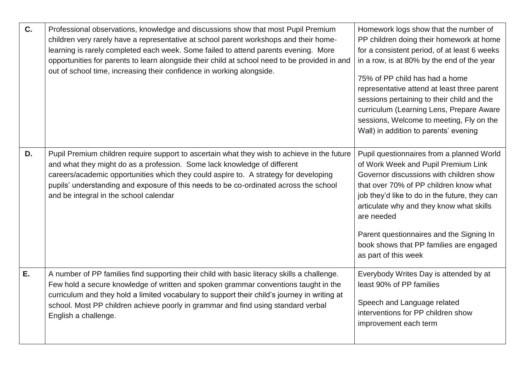| C. | Professional observations, knowledge and discussions show that most Pupil Premium<br>children very rarely have a representative at school parent workshops and their home-<br>learning is rarely completed each week. Some failed to attend parents evening. More<br>opportunities for parents to learn alongside their child at school need to be provided in and<br>out of school time, increasing their confidence in working alongside. | Homework logs show that the number of<br>PP children doing their homework at home<br>for a consistent period, of at least 6 weeks<br>in a row, is at 80% by the end of the year<br>75% of PP child has had a home<br>representative attend at least three parent<br>sessions pertaining to their child and the<br>curriculum (Learning Lens, Prepare Aware<br>sessions, Welcome to meeting, Fly on the<br>Wall) in addition to parents' evening |
|----|---------------------------------------------------------------------------------------------------------------------------------------------------------------------------------------------------------------------------------------------------------------------------------------------------------------------------------------------------------------------------------------------------------------------------------------------|-------------------------------------------------------------------------------------------------------------------------------------------------------------------------------------------------------------------------------------------------------------------------------------------------------------------------------------------------------------------------------------------------------------------------------------------------|
| D. | Pupil Premium children require support to ascertain what they wish to achieve in the future<br>and what they might do as a profession. Some lack knowledge of different<br>careers/academic opportunities which they could aspire to. A strategy for developing<br>pupils' understanding and exposure of this needs to be co-ordinated across the school<br>and be integral in the school calendar                                          | Pupil questionnaires from a planned World<br>of Work Week and Pupil Premium Link<br>Governor discussions with children show<br>that over 70% of PP children know what<br>job they'd like to do in the future, they can<br>articulate why and they know what skills<br>are needed<br>Parent questionnaires and the Signing In<br>book shows that PP families are engaged<br>as part of this week                                                 |
| E. | A number of PP families find supporting their child with basic literacy skills a challenge.<br>Few hold a secure knowledge of written and spoken grammar conventions taught in the<br>curriculum and they hold a limited vocabulary to support their child's journey in writing at<br>school. Most PP children achieve poorly in grammar and find using standard verbal<br>English a challenge.                                             | Everybody Writes Day is attended by at<br>least 90% of PP families<br>Speech and Language related<br>interventions for PP children show<br>improvement each term                                                                                                                                                                                                                                                                                |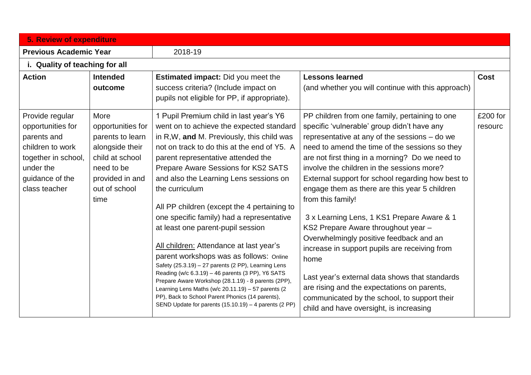| <b>5. Review of expenditure</b>                                                                                                                 |                                                                                                                                               |                                                                                                                                                                                                                                                                                                                                                                                                                                                                                                                                                                                                                                                                                                                                                                                                                                                                                        |                                                                                                                                                                                                                                                                                                                                                                                                                                                                                                                                                                                                                                                                                                                                                                                                                   |                     |  |  |  |
|-------------------------------------------------------------------------------------------------------------------------------------------------|-----------------------------------------------------------------------------------------------------------------------------------------------|----------------------------------------------------------------------------------------------------------------------------------------------------------------------------------------------------------------------------------------------------------------------------------------------------------------------------------------------------------------------------------------------------------------------------------------------------------------------------------------------------------------------------------------------------------------------------------------------------------------------------------------------------------------------------------------------------------------------------------------------------------------------------------------------------------------------------------------------------------------------------------------|-------------------------------------------------------------------------------------------------------------------------------------------------------------------------------------------------------------------------------------------------------------------------------------------------------------------------------------------------------------------------------------------------------------------------------------------------------------------------------------------------------------------------------------------------------------------------------------------------------------------------------------------------------------------------------------------------------------------------------------------------------------------------------------------------------------------|---------------------|--|--|--|
| <b>Previous Academic Year</b>                                                                                                                   |                                                                                                                                               | 2018-19                                                                                                                                                                                                                                                                                                                                                                                                                                                                                                                                                                                                                                                                                                                                                                                                                                                                                |                                                                                                                                                                                                                                                                                                                                                                                                                                                                                                                                                                                                                                                                                                                                                                                                                   |                     |  |  |  |
| i. Quality of teaching for all                                                                                                                  |                                                                                                                                               |                                                                                                                                                                                                                                                                                                                                                                                                                                                                                                                                                                                                                                                                                                                                                                                                                                                                                        |                                                                                                                                                                                                                                                                                                                                                                                                                                                                                                                                                                                                                                                                                                                                                                                                                   |                     |  |  |  |
| <b>Action</b>                                                                                                                                   | <b>Intended</b><br>outcome                                                                                                                    | <b>Estimated impact:</b> Did you meet the<br>success criteria? (Include impact on<br>pupils not eligible for PP, if appropriate).                                                                                                                                                                                                                                                                                                                                                                                                                                                                                                                                                                                                                                                                                                                                                      | <b>Lessons learned</b><br>(and whether you will continue with this approach)                                                                                                                                                                                                                                                                                                                                                                                                                                                                                                                                                                                                                                                                                                                                      | <b>Cost</b>         |  |  |  |
| Provide regular<br>opportunities for<br>parents and<br>children to work<br>together in school,<br>under the<br>guidance of the<br>class teacher | More<br>opportunities for<br>parents to learn<br>alongside their<br>child at school<br>need to be<br>provided in and<br>out of school<br>time | 1 Pupil Premium child in last year's Y6<br>went on to achieve the expected standard<br>in R, W, and M. Previously, this child was<br>not on track to do this at the end of Y5. A<br>parent representative attended the<br>Prepare Aware Sessions for KS2 SATS<br>and also the Learning Lens sessions on<br>the curriculum<br>All PP children (except the 4 pertaining to<br>one specific family) had a representative<br>at least one parent-pupil session<br>All children: Attendance at last year's<br>parent workshops was as follows: Online<br>Safety (25.3.19) - 27 parents (2 PP), Learning Lens<br>Reading (w/c 6.3.19) - 46 parents (3 PP), Y6 SATS<br>Prepare Aware Workshop (28.1.19) - 8 parents (2PP),<br>Learning Lens Maths (w/c 20.11.19) - 57 parents (2<br>PP), Back to School Parent Phonics (14 parents),<br>SEND Update for parents (15.10.19) - 4 parents (2 PP) | PP children from one family, pertaining to one<br>specific 'vulnerable' group didn't have any<br>representative at any of the sessions - do we<br>need to amend the time of the sessions so they<br>are not first thing in a morning? Do we need to<br>involve the children in the sessions more?<br>External support for school regarding how best to<br>engage them as there are this year 5 children<br>from this family!<br>3 x Learning Lens, 1 KS1 Prepare Aware & 1<br>KS2 Prepare Aware throughout year -<br>Overwhelmingly positive feedback and an<br>increase in support pupils are receiving from<br>home<br>Last year's external data shows that standards<br>are rising and the expectations on parents,<br>communicated by the school, to support their<br>child and have oversight, is increasing | £200 for<br>resourc |  |  |  |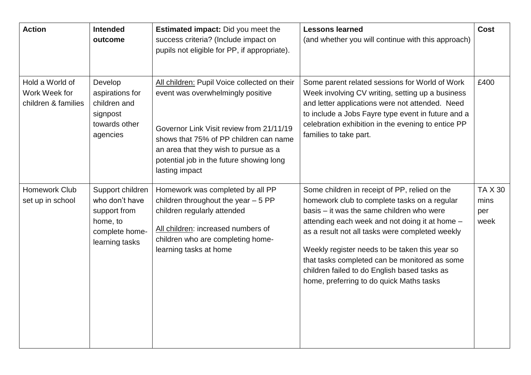| <b>Action</b>                                           | <b>Intended</b><br>outcome                                                                         | Estimated impact: Did you meet the<br>success criteria? (Include impact on<br>pupils not eligible for PP, if appropriate).                                                                                                                                                     | <b>Lessons learned</b><br>(and whether you will continue with this approach)                                                                                                                                                                                                                                                                                                                                                                   | Cost                                  |
|---------------------------------------------------------|----------------------------------------------------------------------------------------------------|--------------------------------------------------------------------------------------------------------------------------------------------------------------------------------------------------------------------------------------------------------------------------------|------------------------------------------------------------------------------------------------------------------------------------------------------------------------------------------------------------------------------------------------------------------------------------------------------------------------------------------------------------------------------------------------------------------------------------------------|---------------------------------------|
| Hold a World of<br>Work Week for<br>children & families | Develop<br>aspirations for<br>children and<br>signpost<br>towards other<br>agencies                | All children: Pupil Voice collected on their<br>event was overwhelmingly positive<br>Governor Link Visit review from 21/11/19<br>shows that 75% of PP children can name<br>an area that they wish to pursue as a<br>potential job in the future showing long<br>lasting impact | Some parent related sessions for World of Work<br>Week involving CV writing, setting up a business<br>and letter applications were not attended. Need<br>to include a Jobs Fayre type event in future and a<br>celebration exhibition in the evening to entice PP<br>families to take part.                                                                                                                                                    | £400                                  |
| Homework Club<br>set up in school                       | Support children<br>who don't have<br>support from<br>home, to<br>complete home-<br>learning tasks | Homework was completed by all PP<br>children throughout the year $-5$ PP<br>children regularly attended<br>All children: increased numbers of<br>children who are completing home-<br>learning tasks at home                                                                   | Some children in receipt of PP, relied on the<br>homework club to complete tasks on a regular<br>basis - it was the same children who were<br>attending each week and not doing it at home -<br>as a result not all tasks were completed weekly<br>Weekly register needs to be taken this year so<br>that tasks completed can be monitored as some<br>children failed to do English based tasks as<br>home, preferring to do quick Maths tasks | <b>TA X 30</b><br>mins<br>per<br>week |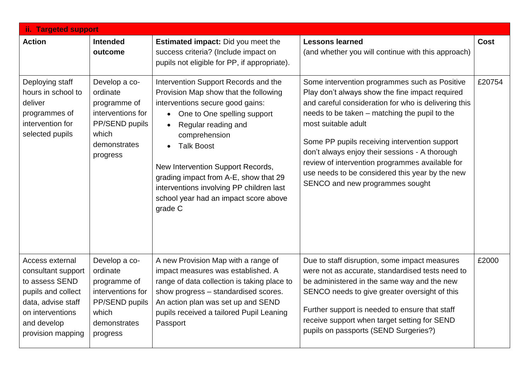| ii. Targeted support                                                                                                                                        |                                                                                                                       |                                                                                                                                                                                                                                                                                                                                                                                                            |                                                                                                                                                                                                                                                                                                                                                                                                                                                                              |             |  |  |  |
|-------------------------------------------------------------------------------------------------------------------------------------------------------------|-----------------------------------------------------------------------------------------------------------------------|------------------------------------------------------------------------------------------------------------------------------------------------------------------------------------------------------------------------------------------------------------------------------------------------------------------------------------------------------------------------------------------------------------|------------------------------------------------------------------------------------------------------------------------------------------------------------------------------------------------------------------------------------------------------------------------------------------------------------------------------------------------------------------------------------------------------------------------------------------------------------------------------|-------------|--|--|--|
| <b>Action</b>                                                                                                                                               | <b>Intended</b><br>outcome                                                                                            | <b>Estimated impact:</b> Did you meet the<br>success criteria? (Include impact on<br>pupils not eligible for PP, if appropriate).                                                                                                                                                                                                                                                                          | <b>Lessons learned</b><br>(and whether you will continue with this approach)                                                                                                                                                                                                                                                                                                                                                                                                 | <b>Cost</b> |  |  |  |
| Deploying staff<br>hours in school to<br>deliver<br>programmes of<br>intervention for<br>selected pupils                                                    | Develop a co-<br>ordinate<br>programme of<br>interventions for<br>PP/SEND pupils<br>which<br>demonstrates<br>progress | Intervention Support Records and the<br>Provision Map show that the following<br>interventions secure good gains:<br>• One to One spelling support<br>Regular reading and<br>$\bullet$<br>comprehension<br><b>Talk Boost</b><br>New Intervention Support Records,<br>grading impact from A-E, show that 29<br>interventions involving PP children last<br>school year had an impact score above<br>grade C | Some intervention programmes such as Positive<br>Play don't always show the fine impact required<br>and careful consideration for who is delivering this<br>needs to be taken - matching the pupil to the<br>most suitable adult<br>Some PP pupils receiving intervention support<br>don't always enjoy their sessions - A thorough<br>review of intervention programmes available for<br>use needs to be considered this year by the new<br>SENCO and new programmes sought | £20754      |  |  |  |
| Access external<br>consultant support<br>to assess SEND<br>pupils and collect<br>data, advise staff<br>on interventions<br>and develop<br>provision mapping | Develop a co-<br>ordinate<br>programme of<br>interventions for<br>PP/SEND pupils<br>which<br>demonstrates<br>progress | A new Provision Map with a range of<br>impact measures was established. A<br>range of data collection is taking place to<br>show progress - standardised scores.<br>An action plan was set up and SEND<br>pupils received a tailored Pupil Leaning<br>Passport                                                                                                                                             | Due to staff disruption, some impact measures<br>were not as accurate, standardised tests need to<br>be administered in the same way and the new<br>SENCO needs to give greater oversight of this<br>Further support is needed to ensure that staff<br>receive support when target setting for SEND<br>pupils on passports (SEND Surgeries?)                                                                                                                                 | £2000       |  |  |  |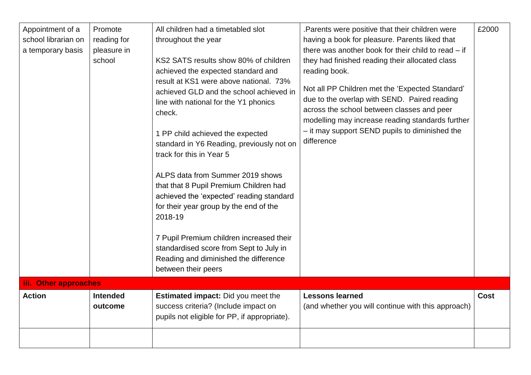| Appointment of a<br>school librarian on<br>a temporary basis | Promote<br>reading for<br>pleasure in<br>school | All children had a timetabled slot<br>throughout the year<br>KS2 SATS results show 80% of children<br>achieved the expected standard and<br>result at KS1 were above national. 73%<br>achieved GLD and the school achieved in<br>line with national for the Y1 phonics<br>check.<br>1 PP child achieved the expected<br>standard in Y6 Reading, previously not on<br>track for this in Year 5<br>ALPS data from Summer 2019 shows<br>that that 8 Pupil Premium Children had<br>achieved the 'expected' reading standard<br>for their year group by the end of the<br>2018-19<br>7 Pupil Premium children increased their<br>standardised score from Sept to July in | Parents were positive that their children were<br>having a book for pleasure. Parents liked that<br>there was another book for their child to read – if<br>they had finished reading their allocated class<br>reading book.<br>Not all PP Children met the 'Expected Standard'<br>due to the overlap with SEND. Paired reading<br>across the school between classes and peer<br>modelling may increase reading standards further<br>- it may support SEND pupils to diminished the<br>difference | £2000       |
|--------------------------------------------------------------|-------------------------------------------------|---------------------------------------------------------------------------------------------------------------------------------------------------------------------------------------------------------------------------------------------------------------------------------------------------------------------------------------------------------------------------------------------------------------------------------------------------------------------------------------------------------------------------------------------------------------------------------------------------------------------------------------------------------------------|--------------------------------------------------------------------------------------------------------------------------------------------------------------------------------------------------------------------------------------------------------------------------------------------------------------------------------------------------------------------------------------------------------------------------------------------------------------------------------------------------|-------------|
|                                                              |                                                 | Reading and diminished the difference<br>between their peers                                                                                                                                                                                                                                                                                                                                                                                                                                                                                                                                                                                                        |                                                                                                                                                                                                                                                                                                                                                                                                                                                                                                  |             |
| iii. Other approaches                                        |                                                 |                                                                                                                                                                                                                                                                                                                                                                                                                                                                                                                                                                                                                                                                     |                                                                                                                                                                                                                                                                                                                                                                                                                                                                                                  |             |
| <b>Action</b>                                                | <b>Intended</b><br>outcome                      | <b>Estimated impact:</b> Did you meet the<br>success criteria? (Include impact on<br>pupils not eligible for PP, if appropriate).                                                                                                                                                                                                                                                                                                                                                                                                                                                                                                                                   | <b>Lessons learned</b><br>(and whether you will continue with this approach)                                                                                                                                                                                                                                                                                                                                                                                                                     | <b>Cost</b> |
|                                                              |                                                 |                                                                                                                                                                                                                                                                                                                                                                                                                                                                                                                                                                                                                                                                     |                                                                                                                                                                                                                                                                                                                                                                                                                                                                                                  |             |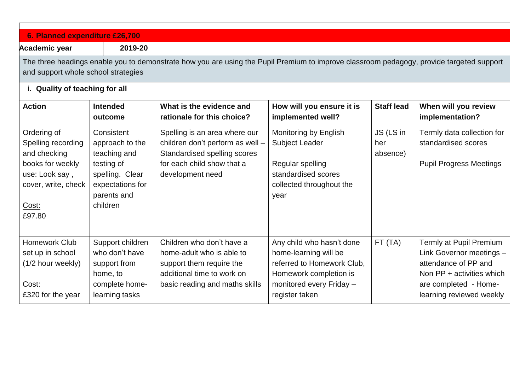| 6. Planned expenditure £26,700                                                                                                                                                  |                                                                                                                   |                                                                                                                                                     |                                                                                                                               |                              |                                                                                                            |  |  |
|---------------------------------------------------------------------------------------------------------------------------------------------------------------------------------|-------------------------------------------------------------------------------------------------------------------|-----------------------------------------------------------------------------------------------------------------------------------------------------|-------------------------------------------------------------------------------------------------------------------------------|------------------------------|------------------------------------------------------------------------------------------------------------|--|--|
| <b>Academic year</b>                                                                                                                                                            | 2019-20                                                                                                           |                                                                                                                                                     |                                                                                                                               |                              |                                                                                                            |  |  |
| The three headings enable you to demonstrate how you are using the Pupil Premium to improve classroom pedagogy, provide targeted support<br>and support whole school strategies |                                                                                                                   |                                                                                                                                                     |                                                                                                                               |                              |                                                                                                            |  |  |
| i. Quality of teaching for all                                                                                                                                                  |                                                                                                                   |                                                                                                                                                     |                                                                                                                               |                              |                                                                                                            |  |  |
| <b>Action</b>                                                                                                                                                                   | <b>Intended</b><br>outcome                                                                                        | What is the evidence and<br>rationale for this choice?                                                                                              | How will you ensure it is<br>implemented well?                                                                                | <b>Staff lead</b>            | When will you review<br>implementation?                                                                    |  |  |
| Ordering of<br>Spelling recording<br>and checking<br>books for weekly<br>use: Look say,<br>cover, write, check                                                                  | Consistent<br>approach to the<br>teaching and<br>testing of<br>spelling. Clear<br>expectations for<br>parents and | Spelling is an area where our<br>children don't perform as well -<br>Standardised spelling scores<br>for each child show that a<br>development need | Monitoring by English<br><b>Subject Leader</b><br>Regular spelling<br>standardised scores<br>collected throughout the<br>year | JS (LS in<br>her<br>absence) | Termly data collection for<br>standardised scores<br><b>Pupil Progress Meetings</b>                        |  |  |
| Cost:<br>£97.80                                                                                                                                                                 | children                                                                                                          |                                                                                                                                                     |                                                                                                                               |                              |                                                                                                            |  |  |
| <b>Homework Club</b><br>set up in school<br>(1/2 hour weekly)                                                                                                                   | Support children<br>who don't have<br>support from<br>home, to                                                    | Children who don't have a<br>home-adult who is able to<br>support them require the<br>additional time to work on                                    | Any child who hasn't done<br>home-learning will be<br>referred to Homework Club,<br>Homework completion is                    | FT(TA)                       | Termly at Pupil Premium<br>Link Governor meetings -<br>attendance of PP and<br>Non $PP +$ activities which |  |  |
| Cost:<br>£320 for the year                                                                                                                                                      | complete home-<br>learning tasks                                                                                  | basic reading and maths skills                                                                                                                      | monitored every Friday -<br>register taken                                                                                    |                              | are completed - Home-<br>learning reviewed weekly                                                          |  |  |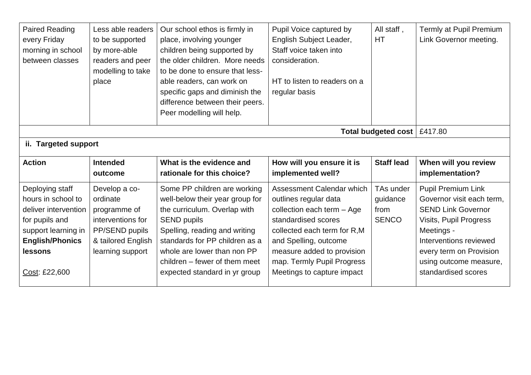| <b>Paired Reading</b><br>every Friday<br>morning in school<br>between classes | Less able readers<br>to be supported<br>by more-able<br>readers and peer<br>modelling to take<br>place | Our school ethos is firmly in<br>place, involving younger<br>children being supported by<br>the older children. More needs<br>to be done to ensure that less-<br>able readers, can work on<br>specific gaps and diminish the<br>difference between their peers.<br>Peer modelling will help. | Pupil Voice captured by<br>English Subject Leader,<br>Staff voice taken into<br>consideration.<br>HT to listen to readers on a<br>regular basis | All staff,<br><b>HT</b> | Termly at Pupil Premium<br>Link Governor meeting. |  |
|-------------------------------------------------------------------------------|--------------------------------------------------------------------------------------------------------|----------------------------------------------------------------------------------------------------------------------------------------------------------------------------------------------------------------------------------------------------------------------------------------------|-------------------------------------------------------------------------------------------------------------------------------------------------|-------------------------|---------------------------------------------------|--|
|                                                                               | Total budgeted cost   £417.80                                                                          |                                                                                                                                                                                                                                                                                              |                                                                                                                                                 |                         |                                                   |  |
| ii. Targeted support                                                          |                                                                                                        |                                                                                                                                                                                                                                                                                              |                                                                                                                                                 |                         |                                                   |  |
| <b>Action</b>                                                                 | <b>Intended</b>                                                                                        | What is the evidence and                                                                                                                                                                                                                                                                     | How will you ensure it is                                                                                                                       | <b>Staff lead</b>       | When will you review                              |  |
|                                                                               | outcome                                                                                                | rationale for this choice?                                                                                                                                                                                                                                                                   | implemented well?                                                                                                                               |                         | implementation?                                   |  |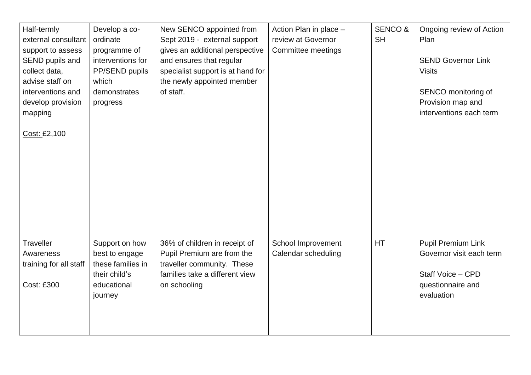| Half-termly<br>external consultant<br>support to assess<br>SEND pupils and<br>collect data,<br>advise staff on<br>interventions and<br>develop provision<br>mapping<br>Cost: £2,100 | Develop a co-<br>ordinate<br>programme of<br>interventions for<br>PP/SEND pupils<br>which<br>demonstrates<br>progress | New SENCO appointed from<br>Sept 2019 - external support<br>gives an additional perspective<br>and ensures that regular<br>specialist support is at hand for<br>the newly appointed member<br>of staff. | Action Plan in place -<br>review at Governor<br>Committee meetings | <b>SENCO &amp;</b><br><b>SH</b> | Ongoing review of Action<br>Plan<br><b>SEND Governor Link</b><br><b>Visits</b><br>SENCO monitoring of<br>Provision map and<br>interventions each term |
|-------------------------------------------------------------------------------------------------------------------------------------------------------------------------------------|-----------------------------------------------------------------------------------------------------------------------|---------------------------------------------------------------------------------------------------------------------------------------------------------------------------------------------------------|--------------------------------------------------------------------|---------------------------------|-------------------------------------------------------------------------------------------------------------------------------------------------------|
| Traveller<br>Awareness<br>training for all staff                                                                                                                                    | Support on how<br>best to engage<br>these families in<br>their child's                                                | 36% of children in receipt of<br>Pupil Premium are from the<br>traveller community. These<br>families take a different view                                                                             | School Improvement<br>Calendar scheduling                          | HT                              | <b>Pupil Premium Link</b><br>Governor visit each term<br>Staff Voice - CPD                                                                            |
| <b>Cost: £300</b>                                                                                                                                                                   | educational<br>journey                                                                                                | on schooling                                                                                                                                                                                            |                                                                    |                                 | questionnaire and<br>evaluation                                                                                                                       |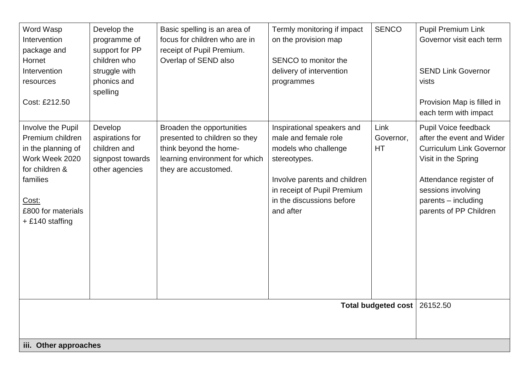| Word Wasp<br>Intervention<br>package and<br>Hornet<br>Intervention<br>resources<br>Cost: £212.50                                                              | Develop the<br>programme of<br>support for PP<br>children who<br>struggle with<br>phonics and<br>spelling | Basic spelling is an area of<br>focus for children who are in<br>receipt of Pupil Premium.<br>Overlap of SEND also                             | Termly monitoring if impact<br>on the provision map<br>SENCO to monitor the<br>delivery of intervention<br>programmes                                                                               | <b>SENCO</b>                   | <b>Pupil Premium Link</b><br>Governor visit each term<br><b>SEND Link Governor</b><br>vists<br>Provision Map is filled in<br>each term with impact                                                           |
|---------------------------------------------------------------------------------------------------------------------------------------------------------------|-----------------------------------------------------------------------------------------------------------|------------------------------------------------------------------------------------------------------------------------------------------------|-----------------------------------------------------------------------------------------------------------------------------------------------------------------------------------------------------|--------------------------------|--------------------------------------------------------------------------------------------------------------------------------------------------------------------------------------------------------------|
| Involve the Pupil<br>Premium children<br>in the planning of<br>Work Week 2020<br>for children &<br>families<br>Cost:<br>£800 for materials<br>+ £140 staffing | Develop<br>aspirations for<br>children and<br>signpost towards<br>other agencies                          | Broaden the opportunities<br>presented to children so they<br>think beyond the home-<br>learning environment for which<br>they are accustomed. | Inspirational speakers and<br>male and female role<br>models who challenge<br>stereotypes.<br>Involve parents and children<br>in receipt of Pupil Premium<br>in the discussions before<br>and after | Link<br>Governor,<br><b>HT</b> | Pupil Voice feedback<br>after the event and Wider<br><b>Curriculum Link Governor</b><br>Visit in the Spring<br>Attendance register of<br>sessions involving<br>parents - including<br>parents of PP Children |
|                                                                                                                                                               |                                                                                                           |                                                                                                                                                |                                                                                                                                                                                                     | <b>Total budgeted cost</b>     | 26152.50                                                                                                                                                                                                     |
| iii. Other approaches                                                                                                                                         |                                                                                                           |                                                                                                                                                |                                                                                                                                                                                                     |                                |                                                                                                                                                                                                              |